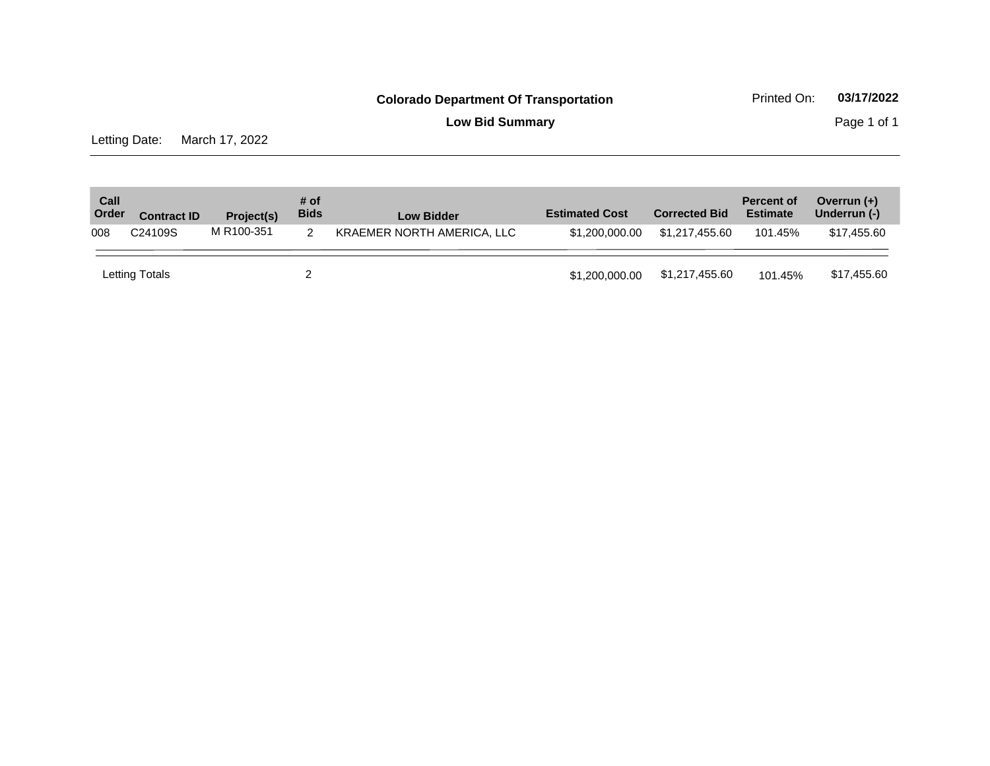**Low Bid Summary Page 1 of 1** 

Letting Date: March 17, 2022

| Call<br>Order | <b>Contract ID</b> | Project(s) | # of<br><b>Bids</b> | <b>Low Bidder</b>          | <b>Estimated Cost</b> | <b>Corrected Bid</b> | <b>Percent of</b><br><b>Estimate</b> | Overrun $(+)$<br>Underrun (-) |
|---------------|--------------------|------------|---------------------|----------------------------|-----------------------|----------------------|--------------------------------------|-------------------------------|
| 008           | C24109S            | M R100-351 |                     | KRAEMER NORTH AMERICA, LLC | \$1,200,000,00        | \$1.217.455.60       | 101.45%                              | \$17,455.60                   |
|               | Letting Totals     |            |                     |                            | \$1,200,000,00        | \$1,217,455.60       | 101.45%                              | \$17,455.60                   |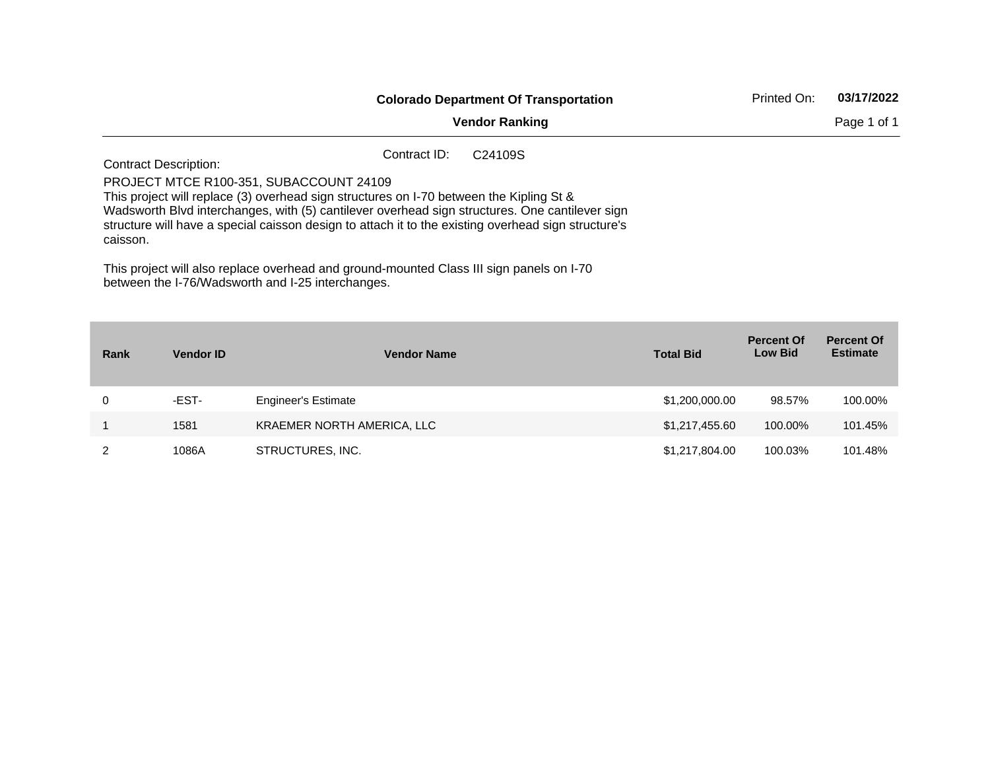|                                                                                          |                                                                                                                                                                                                                                                                                                                                                                                                                   | Printed On: | 03/17/2022 |
|------------------------------------------------------------------------------------------|-------------------------------------------------------------------------------------------------------------------------------------------------------------------------------------------------------------------------------------------------------------------------------------------------------------------------------------------------------------------------------------------------------------------|-------------|------------|
|                                                                                          | <b>Colorado Department Of Transportation</b><br><b>Vendor Ranking</b><br>Contract ID:<br>C <sub>24109</sub> S<br>This project will replace (3) overhead sign structures on I-70 between the Kipling St &<br>Wadsworth Blvd interchanges, with (5) cantilever overhead sign structures. One cantilever sign<br>structure will have a special caisson design to attach it to the existing overhead sign structure's | Page 1 of 1 |            |
| <b>Contract Description:</b><br>PROJECT MTCE R100-351, SUBACCOUNT 24109<br>caisson.      |                                                                                                                                                                                                                                                                                                                                                                                                                   |             |            |
| This project will also replace overhead and ground-mounted Class III sign panels on I-70 |                                                                                                                                                                                                                                                                                                                                                                                                                   |             |            |

between the I-76/Wadsworth and I-25 interchanges.

| Rank | <b>Vendor ID</b> | <b>Vendor Name</b>         | <b>Total Bid</b> | <b>Percent Of</b><br><b>Low Bid</b> | <b>Percent Of</b><br><b>Estimate</b> |
|------|------------------|----------------------------|------------------|-------------------------------------|--------------------------------------|
| 0    | -EST-            | <b>Engineer's Estimate</b> | \$1,200,000.00   | 98.57%                              | 100.00%                              |
|      | 1581             | KRAEMER NORTH AMERICA, LLC | \$1,217,455.60   | 100.00%                             | 101.45%                              |
|      | 1086A            | STRUCTURES, INC.           | \$1,217,804.00   | 100.03%                             | 101.48%                              |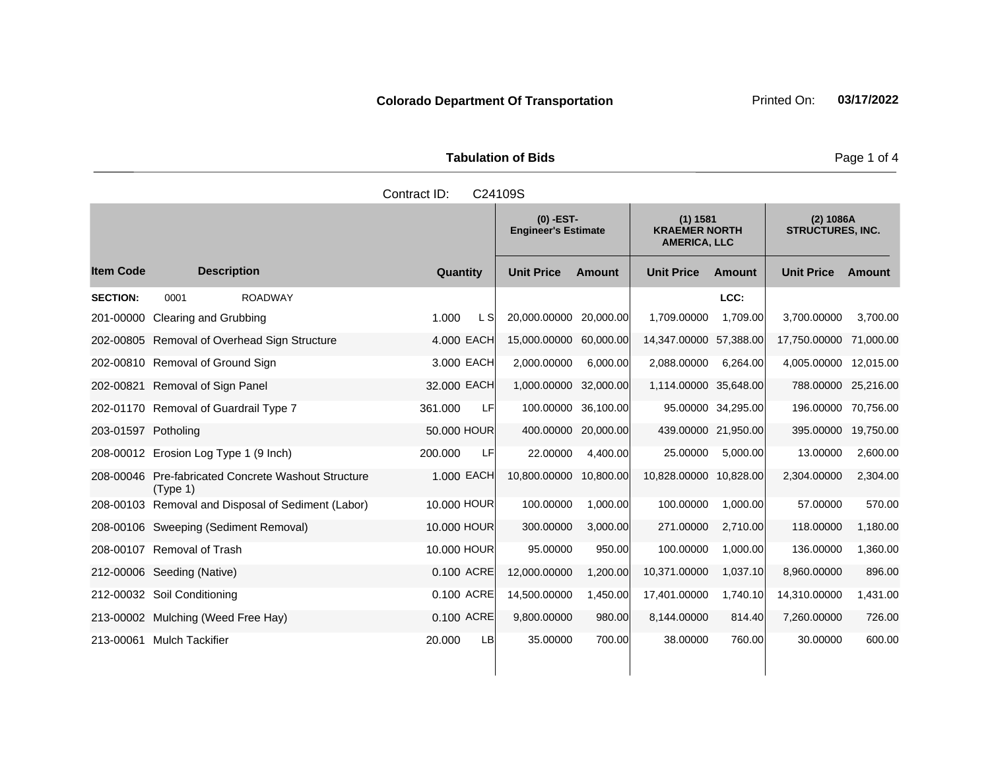|                      | Tabulation of Bids                        |                                                  |
|----------------------|-------------------------------------------|--------------------------------------------------|
| Contract ID: C24109S |                                           |                                                  |
|                      | $(0)$ -EST-<br><b>Engineer's Estimate</b> | (1) 1581<br><b>KRAEMER NORTH</b><br>AMFRICA II C |

|                     |                                                              |               | <b>Engineer's Estimate</b> |           | <b>KRAEMER NORTH</b><br><b>AMERICA, LLC</b> |                    | <b>STRUCTURES, INC.</b> |           |
|---------------------|--------------------------------------------------------------|---------------|----------------------------|-----------|---------------------------------------------|--------------------|-------------------------|-----------|
| <b>Item Code</b>    | <b>Description</b>                                           | Quantity      | <b>Unit Price</b>          | Amount    | <b>Unit Price</b>                           | Amount             | <b>Unit Price</b>       | Amount    |
| <b>SECTION:</b>     | <b>ROADWAY</b><br>0001                                       |               |                            |           |                                             | LCC:               |                         |           |
| 201-00000           | Clearing and Grubbing                                        | 1.000<br>L S  | 20,000.00000               | 20,000.00 | 1,709.00000                                 | 1,709.00           | 3,700.00000             | 3,700.00  |
|                     | 202-00805 Removal of Overhead Sign Structure                 | 4.000 EACH    | 15,000.00000               | 60,000.00 | 14,347.00000                                | 57,388.00          | 17,750.00000            | 71,000.00 |
|                     | 202-00810 Removal of Ground Sign                             | 3,000 EACH    | 2,000.00000                | 6,000.00  | 2,088.00000                                 | 6,264.00           | 4,005.00000             | 12,015.00 |
|                     | 202-00821 Removal of Sign Panel                              | 32.000 EACH   | 1,000.00000                | 32,000.00 | 1,114.00000 35,648.00                       |                    | 788.00000               | 25,216.00 |
|                     | 202-01170 Removal of Guardrail Type 7                        | LF<br>361.000 | 100.00000                  | 36,100.00 |                                             | 95.00000 34,295.00 | 196.00000               | 70,756.00 |
| 203-01597 Potholing |                                                              | 50,000 HOUR   | 400.00000                  | 20,000.00 | 439.00000 21,950.00                         |                    | 395.00000               | 19,750.00 |
|                     | 208-00012 Erosion Log Type 1 (9 Inch)                        | LF<br>200,000 | 22.00000                   | 4,400.00  | 25.00000                                    | 5,000.00           | 13.00000                | 2,600.00  |
| 208-00046           | <b>Pre-fabricated Concrete Washout Structure</b><br>(Type 1) | 1.000 EACH    | 10,800.00000               | 10,800.00 | 10,828.00000                                | 10,828.00          | 2,304.00000             | 2,304.00  |
|                     | 208-00103 Removal and Disposal of Sediment (Labor)           | 10,000 HOUR   | 100.00000                  | 1,000.00  | 100.00000                                   | 1,000.00           | 57.00000                | 570.00    |
|                     | 208-00106 Sweeping (Sediment Removal)                        | 10,000 HOUR   | 300.00000                  | 3,000.00  | 271.00000                                   | 2,710.00           | 118.00000               | 1,180.00  |

208-00107 Removal of Trash 10.000 HOUR 95.00000 950.00 100.0000 1,000.00 1,000.00 1,360.00 212-00006 Seeding (Native) 0.100 ACRE 12,000.00000 1,200.00 10,371.00000 1,037.10 8,960.00000 896.00 212-00032 Soil Conditioning 0.100 ACRE 14,500.00000 1,450.00 17,401.00000 1,740.10 14,310.00000 1,431.00 213-00002 Mulching (Weed Free Hay) 0.100 ACRE 9,800.00000 980.00 8,144.00000 814.40 7,260.00000 726.00 213-00061 Mulch Tackifier 20.000 LB 35.00000 700.00 38.00000 760.00 30.00000 600.00

**Tabulation of Bids Page 1 of 4** 

**(2) 1086A**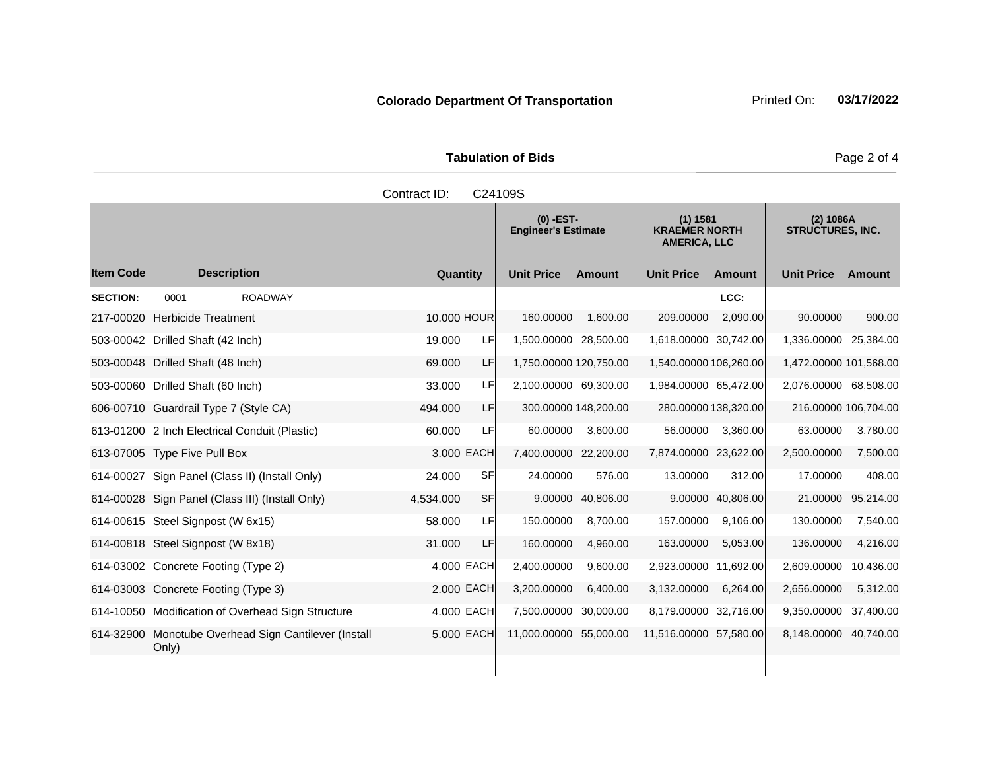**Tabulation of Bids** Page 2 of 4

|                 |                                                               | Contract ID: |            | C24109S                                   |           |                                                         |                   |                                      |           |
|-----------------|---------------------------------------------------------------|--------------|------------|-------------------------------------------|-----------|---------------------------------------------------------|-------------------|--------------------------------------|-----------|
|                 |                                                               |              |            | $(0)$ -EST-<br><b>Engineer's Estimate</b> |           | (1) 1581<br><b>KRAEMER NORTH</b><br><b>AMERICA, LLC</b> |                   | (2) 1086A<br><b>STRUCTURES, INC.</b> |           |
| ltem Code       | <b>Description</b>                                            | Quantity     |            | <b>Unit Price</b>                         | Amount    | <b>Unit Price</b>                                       | Amount            | <b>Unit Price</b>                    | Amount    |
| <b>SECTION:</b> | <b>ROADWAY</b><br>0001                                        |              |            |                                           |           |                                                         | LCC:              |                                      |           |
|                 | 217-00020 Herbicide Treatment                                 | 10,000 HOUR  |            | 160.00000                                 | 1,600.00  | 209.00000                                               | 2,090.00          | 90.00000                             | 900.00    |
|                 | 503-00042 Drilled Shaft (42 Inch)                             | 19.000       | LF         | 1,500.00000 28,500.00                     |           | 1,618.00000 30,742.00                                   |                   | 1,336.00000 25,384.00                |           |
|                 | 503-00048 Drilled Shaft (48 Inch)                             | 69.000       | LF         | 1,750.00000 120,750.00                    |           | 1,540.00000 106,260.00                                  |                   | 1,472.00000 101,568.00               |           |
|                 | 503-00060 Drilled Shaft (60 Inch)                             | 33.000       | LF         | 2,100.00000 69,300.00                     |           | 1,984.00000 65,472.00                                   |                   | 2,076.00000 68,508.00                |           |
|                 | 606-00710 Guardrail Type 7 (Style CA)                         | 494.000      | LF         | 300.00000 148,200.00                      |           | 280.00000 138,320.00                                    |                   | 216.00000 106,704.00                 |           |
|                 | 613-01200 2 Inch Electrical Conduit (Plastic)                 | 60.000       | LFI        | 60.00000                                  | 3,600.00  | 56.00000                                                | 3,360.00          | 63.00000                             | 3,780.00  |
|                 | 613-07005 Type Five Pull Box                                  |              | 3,000 EACH | 7,400.00000 22,200.00                     |           | 7,874.00000 23,622.00                                   |                   | 2,500.00000                          | 7,500.00  |
|                 | 614-00027 Sign Panel (Class II) (Install Only)                | 24,000       | SFI        | 24.00000                                  | 576.00    | 13.00000                                                | 312.00            | 17.00000                             | 408.00    |
|                 | 614-00028 Sign Panel (Class III) (Install Only)               | 4,534.000    | SF         | 9.00000                                   | 40,806.00 |                                                         | 9.00000 40,806.00 | 21.00000                             | 95,214.00 |
|                 | 614-00615 Steel Signpost (W 6x15)                             | 58.000       | LF         | 150.00000                                 | 8,700.00  | 157.00000                                               | 9,106.00          | 130.00000                            | 7,540.00  |
|                 | 614-00818 Steel Signpost (W 8x18)                             | 31.000       | LFI        | 160.00000                                 | 4,960.00  | 163.00000                                               | 5,053.00          | 136.00000                            | 4,216.00  |
|                 | 614-03002 Concrete Footing (Type 2)                           |              | 4.000 EACH | 2,400.00000                               | 9,600.00  | 2,923.00000 11,692.00                                   |                   | 2,609.00000                          | 10,436.00 |
|                 | 614-03003 Concrete Footing (Type 3)                           |              | 2.000 EACH | 3,200.00000                               | 6.400.00  | 3,132.00000                                             | 6,264.00          | 2,656.00000                          | 5,312.00  |
|                 | 614-10050 Modification of Overhead Sign Structure             |              | 4.000 EACH | 7,500.00000                               | 30,000.00 | 8,179.00000 32,716.00                                   |                   | 9,350.00000                          | 37,400.00 |
|                 | 614-32900 Monotube Overhead Sign Cantilever (Install<br>Only) |              | 5,000 EACH | 11,000.00000                              | 55,000.00 | 11,516.00000 57,580.00                                  |                   | 8,148.00000                          | 40,740.00 |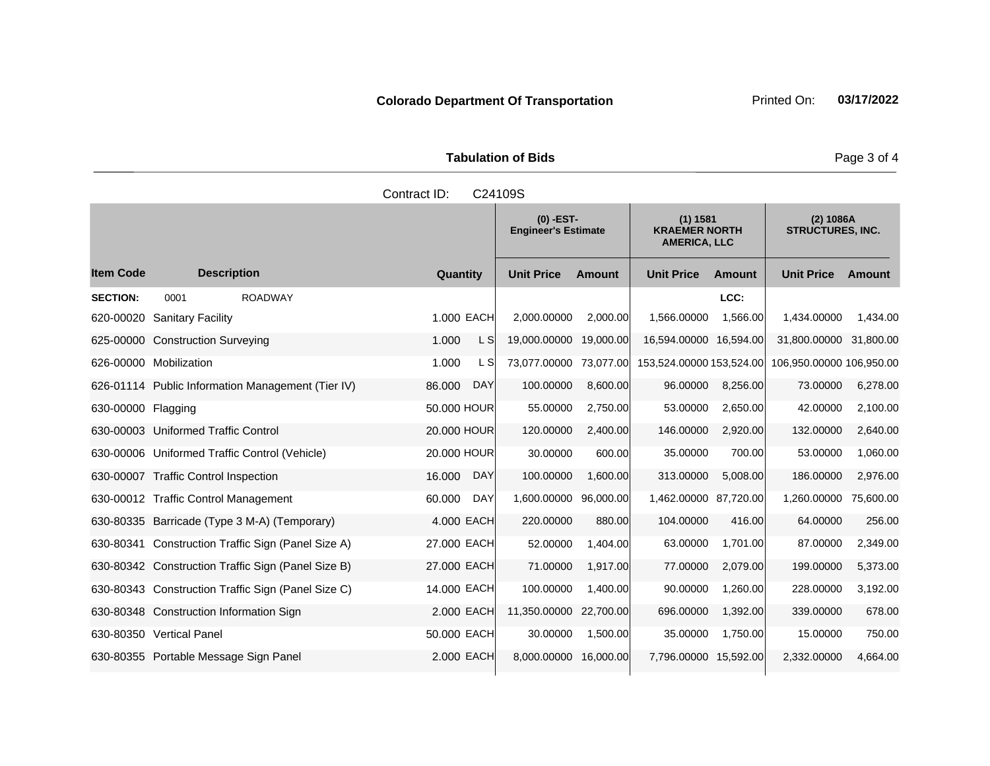|                      | <b>Tabulation of Bids</b> |
|----------------------|---------------------------|
| Contract ID: C24109S |                           |
|                      |                           |

|                    |                                                    |                      | $(0)$ -EST-<br><b>Engineer's Estimate</b> |               | (1) 1581<br><b>KRAEMER NORTH</b><br><b>AMERICA, LLC</b> |           | $(2)$ 1086A<br><b>STRUCTURES, INC.</b> |           |
|--------------------|----------------------------------------------------|----------------------|-------------------------------------------|---------------|---------------------------------------------------------|-----------|----------------------------------------|-----------|
| <b>Item Code</b>   | <b>Description</b>                                 | Quantity             | <b>Unit Price</b>                         | <b>Amount</b> | <b>Unit Price</b>                                       | Amount    | <b>Unit Price</b>                      | Amount    |
| <b>SECTION:</b>    | 0001<br><b>ROADWAY</b>                             |                      |                                           |               |                                                         | LCC:      |                                        |           |
| 620-00020          | <b>Sanitary Facility</b>                           | 1.000 EACH           | 2,000.00000                               | 2,000.00      | 1,566.00000                                             | 1.566.00  | 1,434.00000                            | 1,434.00  |
| 625-00000          | <b>Construction Surveying</b>                      | L SI<br>1.000        | 19,000.00000                              | 19.000.00     | 16.594.00000                                            | 16,594.00 | 31,800.00000                           | 31.800.00 |
|                    | 626-00000 Mobilization                             | L SI<br>1.000        | 73.077.00000                              | 73.077.00     | 153,524.00000 153,524.00                                |           | 106,950.00000 106,950.00               |           |
|                    | 626-01114 Public Information Management (Tier IV)  | 86.000<br><b>DAY</b> | 100.00000                                 | 8,600.00      | 96.00000                                                | 8,256.00  | 73.00000                               | 6,278.00  |
| 630-00000 Flagging |                                                    | 50.000 HOUR          | 55.00000                                  | 2,750.00      | 53.00000                                                | 2,650.00  | 42.00000                               | 2,100.00  |
|                    | 630-00003 Uniformed Traffic Control                | 20.000 HOUR          | 120.00000                                 | 2,400.00      | 146.00000                                               | 2,920.00  | 132.00000                              | 2,640.00  |
|                    | 630-00006 Uniformed Traffic Control (Vehicle)      | 20.000 HOUR          | 30.00000                                  | 600.00        | 35.00000                                                | 700.00    | 53.00000                               | 1,060.00  |
|                    | 630-00007 Traffic Control Inspection               | 16.000<br><b>DAY</b> | 100.00000                                 | 1,600.00      | 313.00000                                               | 5.008.00  | 186.00000                              | 2,976.00  |
|                    | 630-00012 Traffic Control Management               | <b>DAY</b><br>60.000 | 1,600.00000                               | 96,000.00     | 1,462.00000 87,720.00                                   |           | 1,260.00000                            | 75,600.00 |
|                    | 630-80335 Barricade (Type 3 M-A) (Temporary)       | 4.000 EACH           | 220.00000                                 | 880.00        | 104.00000                                               | 416.00    | 64.00000                               | 256.00    |
|                    | 630-80341 Construction Traffic Sign (Panel Size A) | 27.000 EACH          | 52.00000                                  | 1,404.00      | 63.00000                                                | 1,701.00  | 87.00000                               | 2,349.00  |
|                    | 630-80342 Construction Traffic Sign (Panel Size B) | 27,000 EACH          | 71.00000                                  | 1,917.00      | 77.00000                                                | 2,079.00  | 199.00000                              | 5,373.00  |
|                    | 630-80343 Construction Traffic Sign (Panel Size C) | 14.000 EACH          | 100.00000                                 | 1,400.00      | 90.00000                                                | 1,260.00  | 228.00000                              | 3,192.00  |
|                    | 630-80348 Construction Information Sign            | 2.000 EACH           | 11,350.00000                              | 22,700.00     | 696.00000                                               | 1,392.00  | 339.00000                              | 678.00    |
|                    | 630-80350 Vertical Panel                           | 50.000 EACH          | 30.00000                                  | 1,500.00      | 35.00000                                                | 1,750.00  | 15.00000                               | 750.00    |
|                    | 630-80355 Portable Message Sign Panel              | 2.000 EACH           | 8,000.00000                               | 16,000.00     | 7,796.00000                                             | 15,592.00 | 2,332.00000                            | 4,664.00  |

Page 3 of 4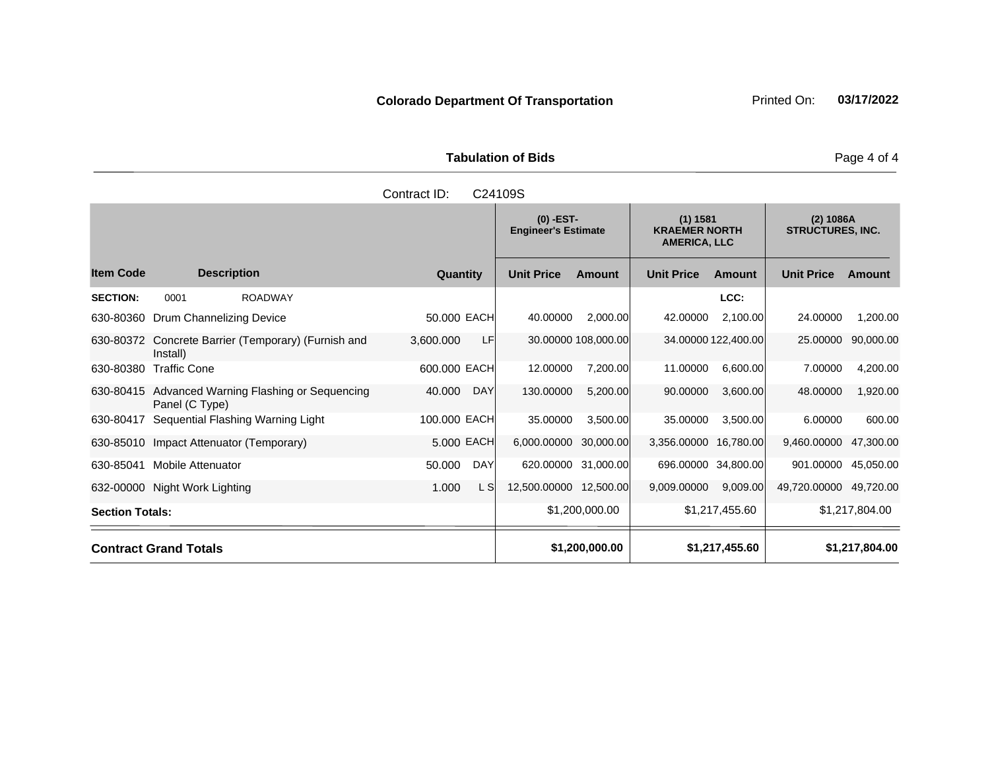| <b>Tabulation of Bids</b> |  |
|---------------------------|--|

|                        |                                                           | Contract ID: |              |            | C24109S               |                                           |                       |                                                         |                                      |                |
|------------------------|-----------------------------------------------------------|--------------|--------------|------------|-----------------------|-------------------------------------------|-----------------------|---------------------------------------------------------|--------------------------------------|----------------|
|                        |                                                           |              |              |            |                       | $(0)$ -EST-<br><b>Engineer's Estimate</b> |                       | (1) 1581<br><b>KRAEMER NORTH</b><br><b>AMERICA, LLC</b> | (2) 1086A<br><b>STRUCTURES, INC.</b> |                |
| <b>Item Code</b>       | <b>Description</b>                                        |              | Quantity     |            | <b>Unit Price</b>     | Amount                                    | <b>Unit Price</b>     | Amount                                                  | <b>Unit Price</b>                    | <b>Amount</b>  |
| <b>SECTION:</b>        | <b>ROADWAY</b><br>0001                                    |              |              |            |                       |                                           |                       | LCC:                                                    |                                      |                |
| 630-80360              | Drum Channelizing Device                                  |              | 50.000 EACH  |            | 40.00000              | 2,000.00                                  | 42.00000              | 2,100.00                                                | 24.00000                             | 1,200.00       |
| 630-80372              | Concrete Barrier (Temporary) (Furnish and<br>Install)     |              | 3,600.000    | LF         |                       | 30.00000 108,000.00                       |                       | 34.00000 122,400.00                                     | 25.00000                             | 90,000.00      |
| 630-80380              | <b>Traffic Cone</b>                                       |              | 600.000 EACH |            | 12.00000              | 7,200.00                                  | 11.00000              | 6,600.00                                                | 7.00000                              | 4,200.00       |
| 630-80415              | Advanced Warning Flashing or Sequencing<br>Panel (C Type) |              | 40.000       | <b>DAY</b> | 130.00000             | 5,200.00                                  | 90.00000              | 3,600.00                                                | 48.00000                             | 1,920.00       |
| 630-80417              | Sequential Flashing Warning Light                         |              | 100.000 EACH |            | 35.00000              | 3,500.00                                  | 35.00000              | 3,500.00                                                | 6.00000                              | 600.00         |
| 630-85010              | Impact Attenuator (Temporary)                             |              | 5,000 EACH   |            | 6,000.00000 30,000.00 |                                           | 3,356.00000 16,780.00 |                                                         | 9,460.00000                          | 47,300.00      |
| 630-85041              | <b>Mobile Attenuator</b>                                  |              | 50.000       | <b>DAY</b> | 620.00000 31,000.00   |                                           |                       | 696.00000 34,800.00                                     | 901.00000                            | 45,050.00      |
|                        | 632-00000 Night Work Lighting                             |              | 1.000        | L S        | 12,500.00000          | 12,500.00                                 | 9,009.00000           | 9,009.00                                                | 49,720.00000                         | 49,720.00      |
| <b>Section Totals:</b> |                                                           |              |              |            |                       | \$1,200,000.00                            |                       | \$1,217,455.60                                          |                                      | \$1,217,804.00 |
|                        | <b>Contract Grand Totals</b>                              |              |              |            |                       | \$1,200,000.00                            |                       | \$1,217,455.60                                          |                                      | \$1,217,804.00 |

Page 4 of 4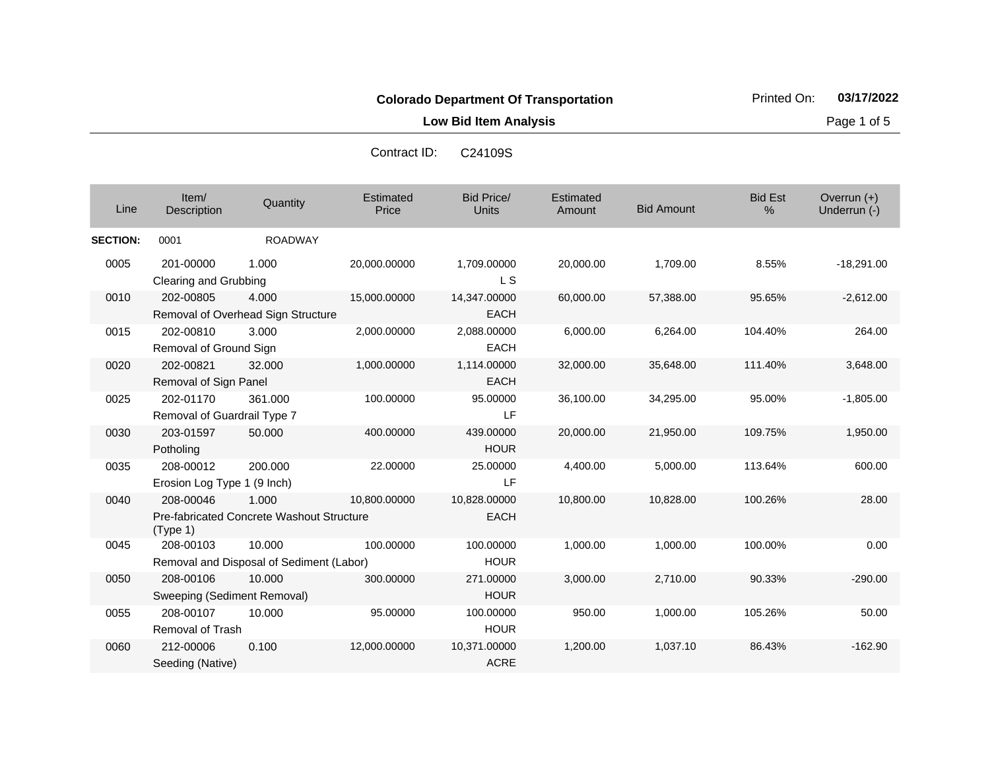**Low Bid Item Analysis Page 1 of 5** 

| Contract ID: | C24109S |
|--------------|---------|
|              |         |

| Line            | Item/<br>Description                     | Quantity                                           | Estimated<br>Price | <b>Bid Price/</b><br><b>Units</b> | Estimated<br>Amount | <b>Bid Amount</b> | <b>Bid Est</b><br>% | Overrun $(+)$<br>Underrun (-) |
|-----------------|------------------------------------------|----------------------------------------------------|--------------------|-----------------------------------|---------------------|-------------------|---------------------|-------------------------------|
| <b>SECTION:</b> | 0001                                     | <b>ROADWAY</b>                                     |                    |                                   |                     |                   |                     |                               |
| 0005            | 201-00000<br>Clearing and Grubbing       | 1.000                                              | 20,000.00000       | 1,709.00000<br>L S                | 20,000.00           | 1,709.00          | 8.55%               | $-18,291.00$                  |
| 0010            | 202-00805                                | 4.000<br>Removal of Overhead Sign Structure        | 15,000.00000       | 14,347.00000<br><b>EACH</b>       | 60,000.00           | 57,388.00         | 95.65%              | $-2,612.00$                   |
| 0015            | 202-00810<br>Removal of Ground Sign      | 3.000                                              | 2,000.00000        | 2,088.00000<br><b>EACH</b>        | 6,000.00            | 6,264.00          | 104.40%             | 264.00                        |
| 0020            | 202-00821<br>Removal of Sign Panel       | 32,000                                             | 1,000.00000        | 1,114.00000<br><b>EACH</b>        | 32,000.00           | 35,648.00         | 111.40%             | 3,648.00                      |
| 0025            | 202-01170<br>Removal of Guardrail Type 7 | 361.000                                            | 100.00000          | 95.00000<br>LF                    | 36,100.00           | 34,295.00         | 95.00%              | $-1,805.00$                   |
| 0030            | 203-01597<br>Potholing                   | 50,000                                             | 400.00000          | 439.00000<br><b>HOUR</b>          | 20,000.00           | 21,950.00         | 109.75%             | 1,950.00                      |
| 0035            | 208-00012<br>Erosion Log Type 1 (9 Inch) | 200.000                                            | 22.00000           | 25.00000<br><b>LF</b>             | 4,400.00            | 5,000.00          | 113.64%             | 600.00                        |
| 0040            | 208-00046<br>(Type 1)                    | 1.000<br>Pre-fabricated Concrete Washout Structure | 10,800.00000       | 10,828.00000<br><b>EACH</b>       | 10,800.00           | 10,828.00         | 100.26%             | 28.00                         |
| 0045            | 208-00103                                | 10.000<br>Removal and Disposal of Sediment (Labor) | 100.00000          | 100.00000<br><b>HOUR</b>          | 1,000.00            | 1,000.00          | 100.00%             | 0.00                          |
| 0050            | 208-00106<br>Sweeping (Sediment Removal) | 10.000                                             | 300.00000          | 271.00000<br><b>HOUR</b>          | 3,000.00            | 2,710.00          | 90.33%              | $-290.00$                     |
| 0055            | 208-00107<br>Removal of Trash            | 10.000                                             | 95.00000           | 100.00000<br><b>HOUR</b>          | 950.00              | 1,000.00          | 105.26%             | 50.00                         |
| 0060            | 212-00006<br>Seeding (Native)            | 0.100                                              | 12,000.00000       | 10,371.00000<br><b>ACRE</b>       | 1,200.00            | 1,037.10          | 86.43%              | $-162.90$                     |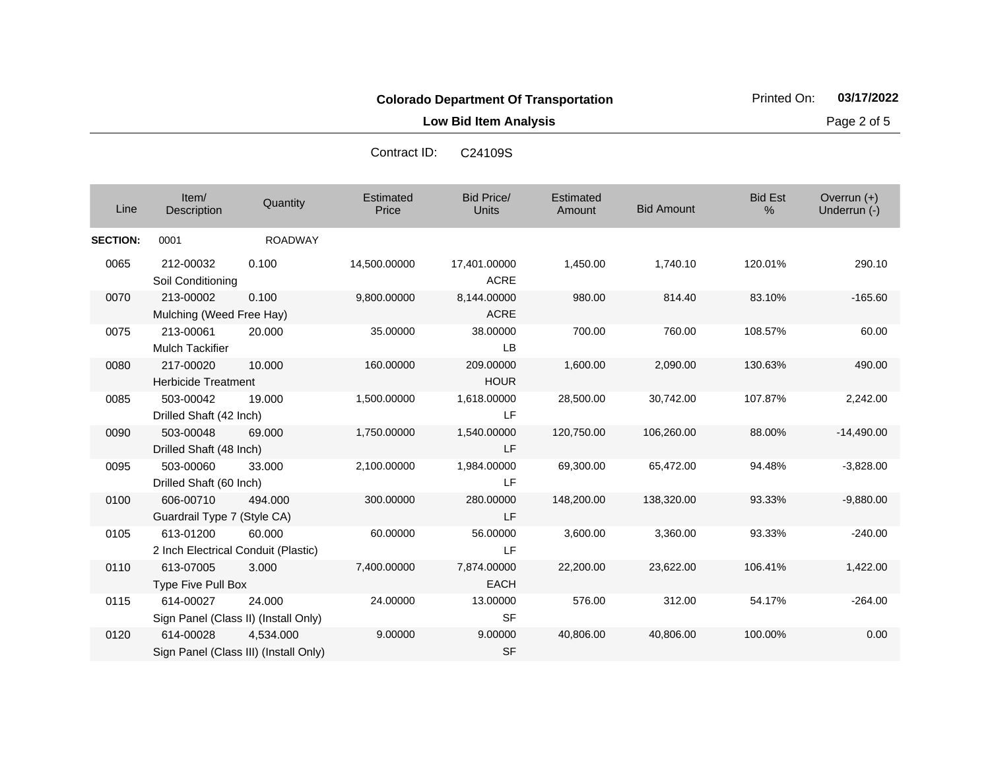**Low Bid Item Analysis Page 2 of 5** 

| Line            | Item/<br>Description                              | Quantity                                           | Estimated<br>Price | <b>Bid Price/</b><br>Units  | <b>Estimated</b><br>Amount | <b>Bid Amount</b> | <b>Bid Est</b><br>% | Overrun (+)<br>Underrun (-) |
|-----------------|---------------------------------------------------|----------------------------------------------------|--------------------|-----------------------------|----------------------------|-------------------|---------------------|-----------------------------|
| <b>SECTION:</b> | 0001                                              | <b>ROADWAY</b>                                     |                    |                             |                            |                   |                     |                             |
| 0065            | 212-00032<br>Soil Conditioning                    | 0.100                                              | 14,500.00000       | 17,401.00000<br><b>ACRE</b> | 1,450.00                   | 1,740.10          | 120.01%             | 290.10                      |
| 0070            | 213-00002<br>Mulching (Weed Free Hay)             | 0.100                                              | 9,800.00000        | 8,144.00000<br><b>ACRE</b>  | 980.00                     | 814.40            | 83.10%              | $-165.60$                   |
| 0075            | 213-00061<br><b>Mulch Tackifier</b>               | 20,000                                             | 35.00000           | 38.00000<br><b>LB</b>       | 700.00                     | 760.00            | 108.57%             | 60.00                       |
| 0080            | 217-00020<br><b>Herbicide Treatment</b>           | 10.000                                             | 160.00000          | 209.00000<br><b>HOUR</b>    | 1,600.00                   | 2,090.00          | 130.63%             | 490.00                      |
| 0085            | 503-00042<br>Drilled Shaft (42 Inch)              | 19.000                                             | 1,500.00000        | 1,618.00000<br>LF           | 28,500.00                  | 30,742.00         | 107.87%             | 2,242.00                    |
| 0090            | 503-00048<br>Drilled Shaft (48 Inch)              | 69.000                                             | 1,750.00000        | 1,540.00000<br>LF           | 120,750.00                 | 106,260.00        | 88.00%              | $-14,490.00$                |
| 0095            | 503-00060<br>Drilled Shaft (60 Inch)              | 33.000                                             | 2,100.00000        | 1,984.00000<br>LF           | 69,300.00                  | 65,472.00         | 94.48%              | $-3,828.00$                 |
| 0100            | 606-00710<br>Guardrail Type 7 (Style CA)          | 494.000                                            | 300.00000          | 280.00000<br>LF             | 148,200.00                 | 138,320.00        | 93.33%              | $-9,880.00$                 |
| 0105            | 613-01200<br>2 Inch Electrical Conduit (Plastic)  | 60.000                                             | 60.00000           | 56.00000<br>LF              | 3,600.00                   | 3,360.00          | 93.33%              | $-240.00$                   |
| 0110            | 613-07005<br>Type Five Pull Box                   | 3.000                                              | 7,400.00000        | 7,874.00000<br><b>EACH</b>  | 22,200.00                  | 23,622.00         | 106.41%             | 1,422.00                    |
| 0115            | 614-00027<br>Sign Panel (Class II) (Install Only) | 24.000                                             | 24.00000           | 13.00000<br><b>SF</b>       | 576.00                     | 312.00            | 54.17%              | $-264.00$                   |
| 0120            | 614-00028                                         | 4.534.000<br>Sign Panel (Class III) (Install Only) | 9.00000            | 9.00000<br><b>SF</b>        | 40,806.00                  | 40,806.00         | 100.00%             | 0.00                        |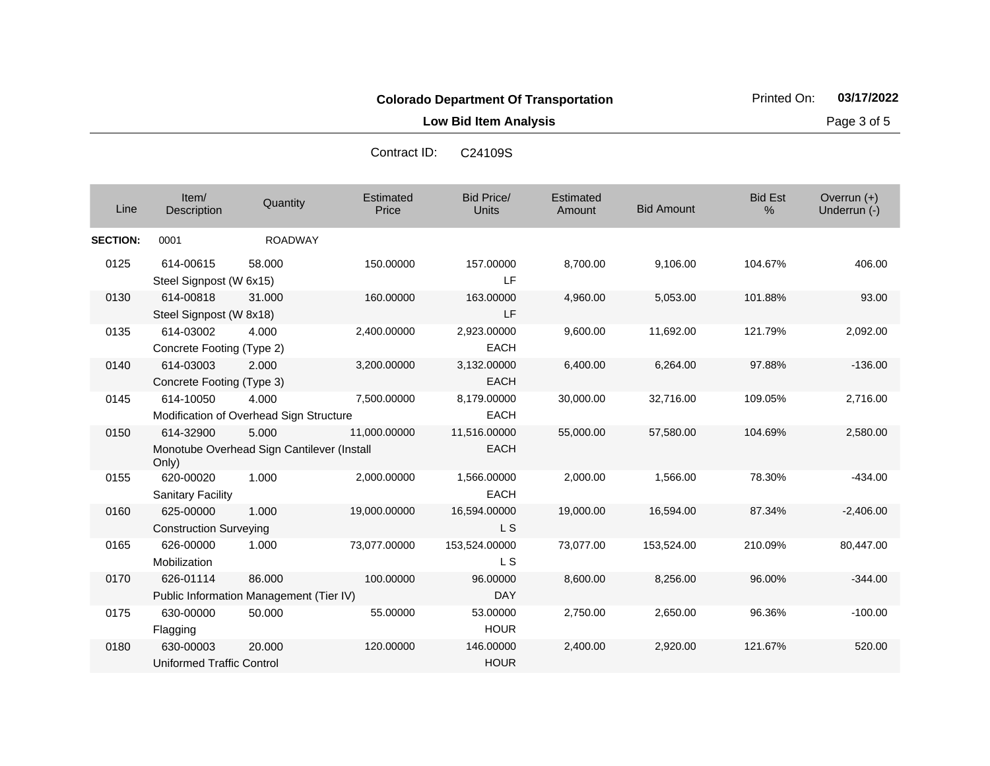**Low Bid Item Analysis Page 3 of 5** 

| C <sub>24109</sub> S |
|----------------------|
|                      |

| Line            | Item/<br>Description                          | Quantity                                            | Estimated<br>Price | <b>Bid Price/</b><br><b>Units</b> | Estimated<br>Amount | <b>Bid Amount</b> | <b>Bid Est</b><br>% | Overrun (+)<br>Underrun (-) |
|-----------------|-----------------------------------------------|-----------------------------------------------------|--------------------|-----------------------------------|---------------------|-------------------|---------------------|-----------------------------|
| <b>SECTION:</b> | 0001                                          | <b>ROADWAY</b>                                      |                    |                                   |                     |                   |                     |                             |
| 0125            | 614-00615<br>Steel Signpost (W 6x15)          | 58,000                                              | 150.00000          | 157.00000<br>LF                   | 8,700.00            | 9,106.00          | 104.67%             | 406.00                      |
| 0130            | 614-00818<br>Steel Signpost (W 8x18)          | 31.000                                              | 160.00000          | 163.00000<br>LF                   | 4,960.00            | 5,053.00          | 101.88%             | 93.00                       |
| 0135            | 614-03002<br>Concrete Footing (Type 2)        | 4.000                                               | 2,400.00000        | 2,923.00000<br><b>EACH</b>        | 9,600.00            | 11,692.00         | 121.79%             | 2,092.00                    |
| 0140            | 614-03003<br>Concrete Footing (Type 3)        | 2.000                                               | 3,200.00000        | 3,132.00000<br><b>EACH</b>        | 6,400.00            | 6,264.00          | 97.88%              | $-136.00$                   |
| 0145            | 614-10050                                     | 4.000<br>Modification of Overhead Sign Structure    | 7,500.00000        | 8,179.00000<br><b>EACH</b>        | 30,000.00           | 32,716.00         | 109.05%             | 2,716.00                    |
| 0150            | 614-32900<br>Only)                            | 5.000<br>Monotube Overhead Sign Cantilever (Install | 11,000.00000       | 11,516.00000<br><b>EACH</b>       | 55,000.00           | 57,580.00         | 104.69%             | 2,580.00                    |
| 0155            | 620-00020<br><b>Sanitary Facility</b>         | 1.000                                               | 2,000.00000        | 1,566.00000<br><b>EACH</b>        | 2,000.00            | 1,566.00          | 78.30%              | $-434.00$                   |
| 0160            | 625-00000<br><b>Construction Surveying</b>    | 1.000                                               | 19,000.00000       | 16,594.00000<br>L S               | 19,000.00           | 16,594.00         | 87.34%              | $-2,406.00$                 |
| 0165            | 626-00000<br>Mobilization                     | 1.000                                               | 73,077.00000       | 153,524.00000<br>L S              | 73,077.00           | 153,524.00        | 210.09%             | 80,447.00                   |
| 0170            | 626-01114                                     | 86,000<br>Public Information Management (Tier IV)   | 100.00000          | 96.00000<br><b>DAY</b>            | 8,600.00            | 8,256.00          | 96.00%              | $-344.00$                   |
| 0175            | 630-00000<br>Flagging                         | 50.000                                              | 55.00000           | 53.00000<br><b>HOUR</b>           | 2,750.00            | 2,650.00          | 96.36%              | $-100.00$                   |
| 0180            | 630-00003<br><b>Uniformed Traffic Control</b> | 20.000                                              | 120.00000          | 146.00000<br><b>HOUR</b>          | 2,400.00            | 2,920.00          | 121.67%             | 520.00                      |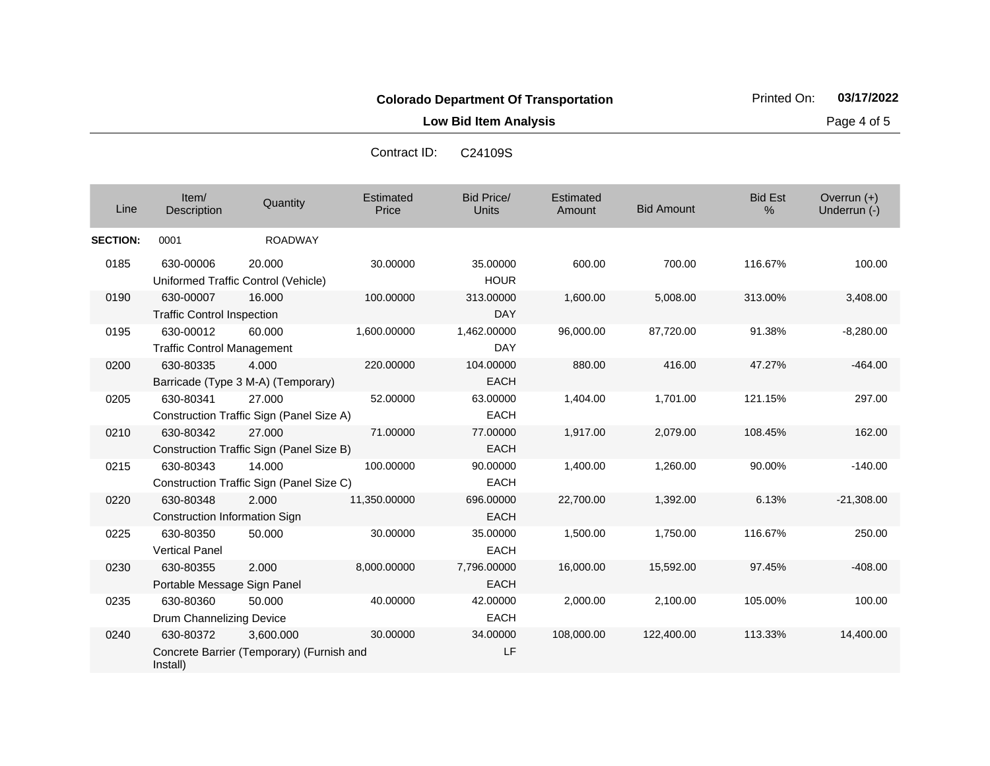**Low Bid Item Analysis Page 4 of 5** 

| Contract ID: | C <sub>24109</sub> S |
|--------------|----------------------|
|              |                      |

| Line            | Item/<br>Description                              | Quantity                                               | Estimated<br>Price | <b>Bid Price/</b><br>Units | Estimated<br>Amount | <b>Bid Amount</b> | <b>Bid Est</b><br>% | Overrun $(+)$<br>Underrun (-) |
|-----------------|---------------------------------------------------|--------------------------------------------------------|--------------------|----------------------------|---------------------|-------------------|---------------------|-------------------------------|
| <b>SECTION:</b> | 0001                                              | <b>ROADWAY</b>                                         |                    |                            |                     |                   |                     |                               |
| 0185            | 630-00006                                         | 20.000<br>Uniformed Traffic Control (Vehicle)          | 30.00000           | 35.00000<br><b>HOUR</b>    | 600.00              | 700.00            | 116.67%             | 100.00                        |
| 0190            | 630-00007<br><b>Traffic Control Inspection</b>    | 16.000                                                 | 100.00000          | 313.00000<br><b>DAY</b>    | 1,600.00            | 5,008.00          | 313.00%             | 3,408.00                      |
| 0195            | 630-00012<br><b>Traffic Control Management</b>    | 60.000                                                 | 1,600.00000        | 1,462.00000<br>DAY         | 96,000.00           | 87,720.00         | 91.38%              | $-8,280.00$                   |
| 0200            | 630-80335                                         | 4.000<br>Barricade (Type 3 M-A) (Temporary)            | 220.00000          | 104.00000<br><b>EACH</b>   | 880.00              | 416.00            | 47.27%              | $-464.00$                     |
| 0205            | 630-80341                                         | 27,000<br>Construction Traffic Sign (Panel Size A)     | 52.00000           | 63.00000<br><b>EACH</b>    | 1,404.00            | 1,701.00          | 121.15%             | 297.00                        |
| 0210            | 630-80342                                         | 27.000<br>Construction Traffic Sign (Panel Size B)     | 71.00000           | 77.00000<br><b>EACH</b>    | 1,917.00            | 2,079.00          | 108.45%             | 162.00                        |
| 0215            | 630-80343                                         | 14.000<br>Construction Traffic Sign (Panel Size C)     | 100.00000          | 90.00000<br><b>EACH</b>    | 1,400.00            | 1,260.00          | 90.00%              | $-140.00$                     |
| 0220            | 630-80348<br><b>Construction Information Sign</b> | 2.000                                                  | 11,350.00000       | 696.00000<br><b>EACH</b>   | 22,700.00           | 1,392.00          | 6.13%               | $-21,308.00$                  |
| 0225            | 630-80350<br><b>Vertical Panel</b>                | 50.000                                                 | 30.00000           | 35.00000<br><b>EACH</b>    | 1,500.00            | 1,750.00          | 116.67%             | 250.00                        |
| 0230            | 630-80355<br>Portable Message Sign Panel          | 2.000                                                  | 8,000.00000        | 7,796.00000<br><b>EACH</b> | 16,000.00           | 15,592.00         | 97.45%              | $-408.00$                     |
| 0235            | 630-80360<br>Drum Channelizing Device             | 50.000                                                 | 40.00000           | 42.00000<br><b>EACH</b>    | 2,000.00            | 2,100.00          | 105.00%             | 100.00                        |
| 0240            | 630-80372<br>Install)                             | 3.600.000<br>Concrete Barrier (Temporary) (Furnish and | 30.00000           | 34.00000<br>LF             | 108,000.00          | 122,400.00        | 113.33%             | 14,400.00                     |